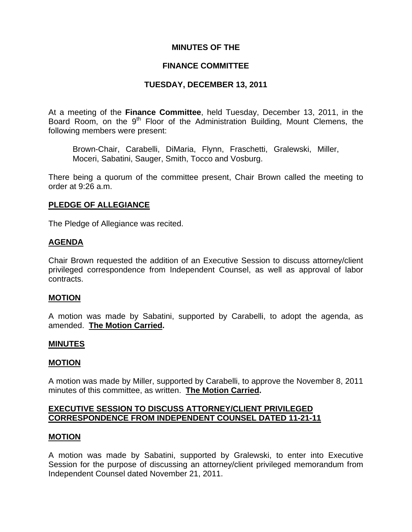### **MINUTES OF THE**

### **FINANCE COMMITTEE**

## **TUESDAY, DECEMBER 13, 2011**

At a meeting of the **Finance Committee**, held Tuesday, December 13, 2011, in the Board Room, on the  $9<sup>th</sup>$  Floor of the Administration Building, Mount Clemens, the following members were present:

Brown-Chair, Carabelli, DiMaria, Flynn, Fraschetti, Gralewski, Miller, Moceri, Sabatini, Sauger, Smith, Tocco and Vosburg.

There being a quorum of the committee present, Chair Brown called the meeting to order at 9:26 a.m.

### **PLEDGE OF ALLEGIANCE**

The Pledge of Allegiance was recited.

#### **AGENDA**

Chair Brown requested the addition of an Executive Session to discuss attorney/client privileged correspondence from Independent Counsel, as well as approval of labor contracts.

#### **MOTION**

A motion was made by Sabatini, supported by Carabelli, to adopt the agenda, as amended. **The Motion Carried.** 

#### **MINUTES**

#### **MOTION**

A motion was made by Miller, supported by Carabelli, to approve the November 8, 2011 minutes of this committee, as written. **The Motion Carried.** 

### **EXECUTIVE SESSION TO DISCUSS ATTORNEY/CLIENT PRIVILEGED CORRESPONDENCE FROM INDEPENDENT COUNSEL DATED 11-21-11**

#### **MOTION**

A motion was made by Sabatini, supported by Gralewski, to enter into Executive Session for the purpose of discussing an attorney/client privileged memorandum from Independent Counsel dated November 21, 2011.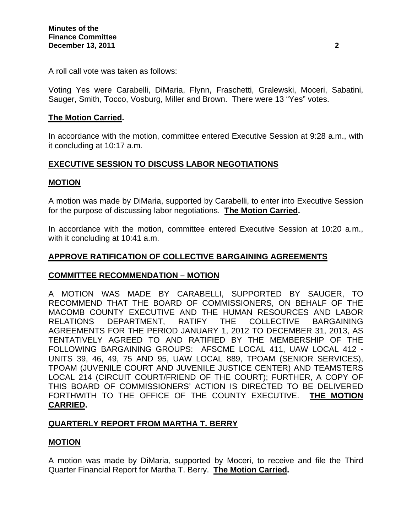A roll call vote was taken as follows:

Voting Yes were Carabelli, DiMaria, Flynn, Fraschetti, Gralewski, Moceri, Sabatini, Sauger, Smith, Tocco, Vosburg, Miller and Brown. There were 13 "Yes" votes.

### **The Motion Carried.**

In accordance with the motion, committee entered Executive Session at 9:28 a.m., with it concluding at 10:17 a.m.

## **EXECUTIVE SESSION TO DISCUSS LABOR NEGOTIATIONS**

### **MOTION**

A motion was made by DiMaria, supported by Carabelli, to enter into Executive Session for the purpose of discussing labor negotiations. **The Motion Carried.** 

In accordance with the motion, committee entered Executive Session at 10:20 a.m., with it concluding at 10:41 a.m.

## **APPROVE RATIFICATION OF COLLECTIVE BARGAINING AGREEMENTS**

#### **COMMITTEE RECOMMENDATION – MOTION**

A MOTION WAS MADE BY CARABELLI, SUPPORTED BY SAUGER, TO RECOMMEND THAT THE BOARD OF COMMISSIONERS, ON BEHALF OF THE MACOMB COUNTY EXECUTIVE AND THE HUMAN RESOURCES AND LABOR RELATIONS DEPARTMENT, RATIFY THE COLLECTIVE BARGAINING AGREEMENTS FOR THE PERIOD JANUARY 1, 2012 TO DECEMBER 31, 2013, AS TENTATIVELY AGREED TO AND RATIFIED BY THE MEMBERSHIP OF THE FOLLOWING BARGAINING GROUPS: AFSCME LOCAL 411, UAW LOCAL 412 - UNITS 39, 46, 49, 75 AND 95, UAW LOCAL 889, TPOAM (SENIOR SERVICES), TPOAM (JUVENILE COURT AND JUVENILE JUSTICE CENTER) AND TEAMSTERS LOCAL 214 (CIRCUIT COURT/FRIEND OF THE COURT); FURTHER, A COPY OF THIS BOARD OF COMMISSIONERS' ACTION IS DIRECTED TO BE DELIVERED FORTHWITH TO THE OFFICE OF THE COUNTY EXECUTIVE. **THE MOTION CARRIED.** 

#### **QUARTERLY REPORT FROM MARTHA T. BERRY**

#### **MOTION**

A motion was made by DiMaria, supported by Moceri, to receive and file the Third Quarter Financial Report for Martha T. Berry. **The Motion Carried.**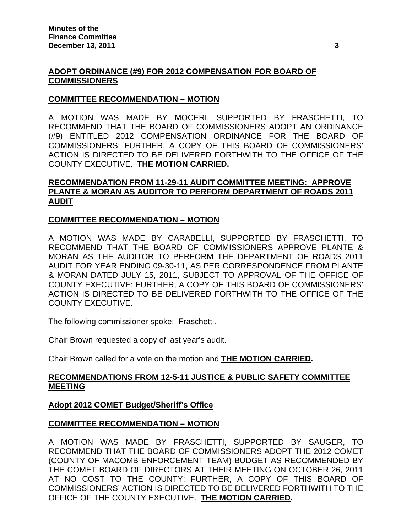## **ADOPT ORDINANCE (#9) FOR 2012 COMPENSATION FOR BOARD OF COMMISSIONERS**

## **COMMITTEE RECOMMENDATION – MOTION**

A MOTION WAS MADE BY MOCERI, SUPPORTED BY FRASCHETTI, TO RECOMMEND THAT THE BOARD OF COMMISSIONERS ADOPT AN ORDINANCE (#9) ENTITLED 2012 COMPENSATION ORDINANCE FOR THE BOARD OF COMMISSIONERS; FURTHER, A COPY OF THIS BOARD OF COMMISSIONERS' ACTION IS DIRECTED TO BE DELIVERED FORTHWITH TO THE OFFICE OF THE COUNTY EXECUTIVE. **THE MOTION CARRIED.** 

# **RECOMMENDATION FROM 11-29-11 AUDIT COMMITTEE MEETING: APPROVE PLANTE & MORAN AS AUDITOR TO PERFORM DEPARTMENT OF ROADS 2011 AUDIT**

### **COMMITTEE RECOMMENDATION – MOTION**

A MOTION WAS MADE BY CARABELLI, SUPPORTED BY FRASCHETTI, TO RECOMMEND THAT THE BOARD OF COMMISSIONERS APPROVE PLANTE & MORAN AS THE AUDITOR TO PERFORM THE DEPARTMENT OF ROADS 2011 AUDIT FOR YEAR ENDING 09-30-11, AS PER CORRESPONDENCE FROM PLANTE & MORAN DATED JULY 15, 2011, SUBJECT TO APPROVAL OF THE OFFICE OF COUNTY EXECUTIVE; FURTHER, A COPY OF THIS BOARD OF COMMISSIONERS' ACTION IS DIRECTED TO BE DELIVERED FORTHWITH TO THE OFFICE OF THE COUNTY EXECUTIVE.

The following commissioner spoke: Fraschetti.

Chair Brown requested a copy of last year's audit.

Chair Brown called for a vote on the motion and **THE MOTION CARRIED.** 

### **RECOMMENDATIONS FROM 12-5-11 JUSTICE & PUBLIC SAFETY COMMITTEE MEETING**

#### **Adopt 2012 COMET Budget/Sheriff's Office**

#### **COMMITTEE RECOMMENDATION – MOTION**

A MOTION WAS MADE BY FRASCHETTI, SUPPORTED BY SAUGER, TO RECOMMEND THAT THE BOARD OF COMMISSIONERS ADOPT THE 2012 COMET (COUNTY OF MACOMB ENFORCEMENT TEAM) BUDGET AS RECOMMENDED BY THE COMET BOARD OF DIRECTORS AT THEIR MEETING ON OCTOBER 26, 2011 AT NO COST TO THE COUNTY; FURTHER, A COPY OF THIS BOARD OF COMMISSIONERS' ACTION IS DIRECTED TO BE DELIVERED FORTHWITH TO THE OFFICE OF THE COUNTY EXECUTIVE. **THE MOTION CARRIED.**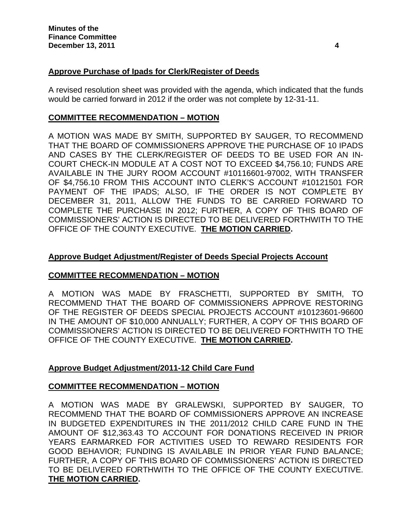# **Approve Purchase of Ipads for Clerk/Register of Deeds**

A revised resolution sheet was provided with the agenda, which indicated that the funds would be carried forward in 2012 if the order was not complete by 12-31-11.

### **COMMITTEE RECOMMENDATION – MOTION**

A MOTION WAS MADE BY SMITH, SUPPORTED BY SAUGER, TO RECOMMEND THAT THE BOARD OF COMMISSIONERS APPROVE THE PURCHASE OF 10 IPADS AND CASES BY THE CLERK/REGISTER OF DEEDS TO BE USED FOR AN IN-COURT CHECK-IN MODULE AT A COST NOT TO EXCEED \$4,756.10; FUNDS ARE AVAILABLE IN THE JURY ROOM ACCOUNT #10116601-97002, WITH TRANSFER OF \$4,756.10 FROM THIS ACCOUNT INTO CLERK'S ACCOUNT #10121501 FOR PAYMENT OF THE IPADS; ALSO, IF THE ORDER IS NOT COMPLETE BY DECEMBER 31, 2011, ALLOW THE FUNDS TO BE CARRIED FORWARD TO COMPLETE THE PURCHASE IN 2012; FURTHER, A COPY OF THIS BOARD OF COMMISSIONERS' ACTION IS DIRECTED TO BE DELIVERED FORTHWITH TO THE OFFICE OF THE COUNTY EXECUTIVE. **THE MOTION CARRIED.** 

## **Approve Budget Adjustment/Register of Deeds Special Projects Account**

## **COMMITTEE RECOMMENDATION – MOTION**

A MOTION WAS MADE BY FRASCHETTI, SUPPORTED BY SMITH, TO RECOMMEND THAT THE BOARD OF COMMISSIONERS APPROVE RESTORING OF THE REGISTER OF DEEDS SPECIAL PROJECTS ACCOUNT #10123601-96600 IN THE AMOUNT OF \$10,000 ANNUALLY; FURTHER, A COPY OF THIS BOARD OF COMMISSIONERS' ACTION IS DIRECTED TO BE DELIVERED FORTHWITH TO THE OFFICE OF THE COUNTY EXECUTIVE. **THE MOTION CARRIED.** 

## **Approve Budget Adjustment/2011-12 Child Care Fund**

## **COMMITTEE RECOMMENDATION – MOTION**

A MOTION WAS MADE BY GRALEWSKI, SUPPORTED BY SAUGER, TO RECOMMEND THAT THE BOARD OF COMMISSIONERS APPROVE AN INCREASE IN BUDGETED EXPENDITURES IN THE 2011/2012 CHILD CARE FUND IN THE AMOUNT OF \$12,363.43 TO ACCOUNT FOR DONATIONS RECEIVED IN PRIOR YEARS EARMARKED FOR ACTIVITIES USED TO REWARD RESIDENTS FOR GOOD BEHAVIOR; FUNDING IS AVAILABLE IN PRIOR YEAR FUND BALANCE; FURTHER, A COPY OF THIS BOARD OF COMMISSIONERS' ACTION IS DIRECTED TO BE DELIVERED FORTHWITH TO THE OFFICE OF THE COUNTY EXECUTIVE. **THE MOTION CARRIED.**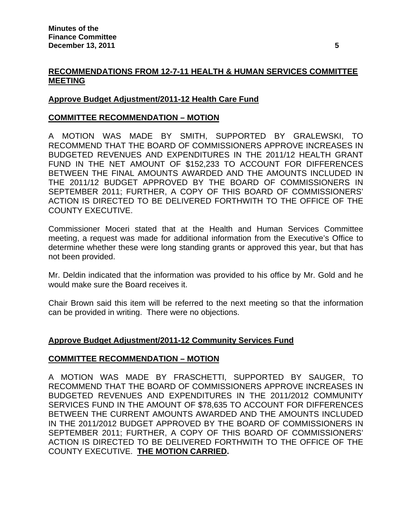# **RECOMMENDATIONS FROM 12-7-11 HEALTH & HUMAN SERVICES COMMITTEE MEETING**

# **Approve Budget Adjustment/2011-12 Health Care Fund**

### **COMMITTEE RECOMMENDATION – MOTION**

A MOTION WAS MADE BY SMITH, SUPPORTED BY GRALEWSKI, TO RECOMMEND THAT THE BOARD OF COMMISSIONERS APPROVE INCREASES IN BUDGETED REVENUES AND EXPENDITURES IN THE 2011/12 HEALTH GRANT FUND IN THE NET AMOUNT OF \$152,233 TO ACCOUNT FOR DIFFERENCES BETWEEN THE FINAL AMOUNTS AWARDED AND THE AMOUNTS INCLUDED IN THE 2011/12 BUDGET APPROVED BY THE BOARD OF COMMISSIONERS IN SEPTEMBER 2011; FURTHER, A COPY OF THIS BOARD OF COMMISSIONERS' ACTION IS DIRECTED TO BE DELIVERED FORTHWITH TO THE OFFICE OF THE COUNTY EXECUTIVE.

Commissioner Moceri stated that at the Health and Human Services Committee meeting, a request was made for additional information from the Executive's Office to determine whether these were long standing grants or approved this year, but that has not been provided.

Mr. Deldin indicated that the information was provided to his office by Mr. Gold and he would make sure the Board receives it.

Chair Brown said this item will be referred to the next meeting so that the information can be provided in writing. There were no objections.

## **Approve Budget Adjustment/2011-12 Community Services Fund**

#### **COMMITTEE RECOMMENDATION – MOTION**

A MOTION WAS MADE BY FRASCHETTI, SUPPORTED BY SAUGER, TO RECOMMEND THAT THE BOARD OF COMMISSIONERS APPROVE INCREASES IN BUDGETED REVENUES AND EXPENDITURES IN THE 2011/2012 COMMUNITY SERVICES FUND IN THE AMOUNT OF \$78,635 TO ACCOUNT FOR DIFFERENCES BETWEEN THE CURRENT AMOUNTS AWARDED AND THE AMOUNTS INCLUDED IN THE 2011/2012 BUDGET APPROVED BY THE BOARD OF COMMISSIONERS IN SEPTEMBER 2011; FURTHER, A COPY OF THIS BOARD OF COMMISSIONERS' ACTION IS DIRECTED TO BE DELIVERED FORTHWITH TO THE OFFICE OF THE COUNTY EXECUTIVE. **THE MOTION CARRIED.**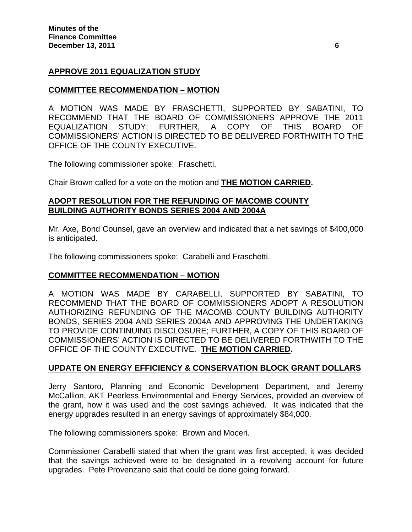## **APPROVE 2011 EQUALIZATION STUDY**

## **COMMITTEE RECOMMENDATION – MOTION**

A MOTION WAS MADE BY FRASCHETTI, SUPPORTED BY SABATINI, TO RECOMMEND THAT THE BOARD OF COMMISSIONERS APPROVE THE 2011 EQUALIZATION STUDY; FURTHER, A COPY OF THIS BOARD OF COMMISSIONERS' ACTION IS DIRECTED TO BE DELIVERED FORTHWITH TO THE OFFICE OF THE COUNTY EXECUTIVE.

The following commissioner spoke: Fraschetti.

Chair Brown called for a vote on the motion and **THE MOTION CARRIED.** 

### **ADOPT RESOLUTION FOR THE REFUNDING OF MACOMB COUNTY BUILDING AUTHORITY BONDS SERIES 2004 AND 2004A**

Mr. Axe, Bond Counsel, gave an overview and indicated that a net savings of \$400,000 is anticipated.

The following commissioners spoke: Carabelli and Fraschetti.

## **COMMITTEE RECOMMENDATION – MOTION**

A MOTION WAS MADE BY CARABELLI, SUPPORTED BY SABATINI, TO RECOMMEND THAT THE BOARD OF COMMISSIONERS ADOPT A RESOLUTION AUTHORIZING REFUNDING OF THE MACOMB COUNTY BUILDING AUTHORITY BONDS, SERIES 2004 AND SERIES 2004A AND APPROVING THE UNDERTAKING TO PROVIDE CONTINUING DISCLOSURE; FURTHER, A COPY OF THIS BOARD OF COMMISSIONERS' ACTION IS DIRECTED TO BE DELIVERED FORTHWITH TO THE OFFICE OF THE COUNTY EXECUTIVE. **THE MOTION CARRIED.** 

## **UPDATE ON ENERGY EFFICIENCY & CONSERVATION BLOCK GRANT DOLLARS**

Jerry Santoro, Planning and Economic Development Department, and Jeremy McCallion, AKT Peerless Environmental and Energy Services, provided an overview of the grant, how it was used and the cost savings achieved. It was indicated that the energy upgrades resulted in an energy savings of approximately \$84,000.

The following commissioners spoke: Brown and Moceri.

Commissioner Carabelli stated that when the grant was first accepted, it was decided that the savings achieved were to be designated in a revolving account for future upgrades. Pete Provenzano said that could be done going forward.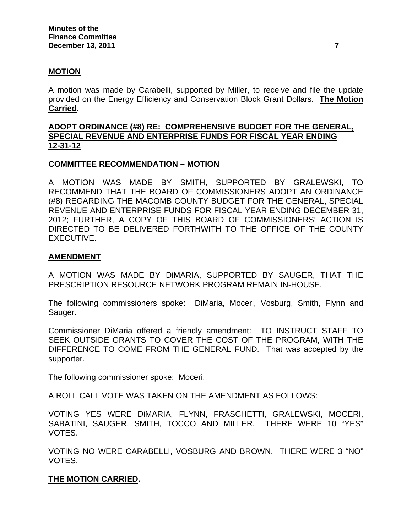### **MOTION**

A motion was made by Carabelli, supported by Miller, to receive and file the update provided on the Energy Efficiency and Conservation Block Grant Dollars. **The Motion Carried.** 

## **ADOPT ORDINANCE (#8) RE: COMPREHENSIVE BUDGET FOR THE GENERAL, SPECIAL REVENUE AND ENTERPRISE FUNDS FOR FISCAL YEAR ENDING 12-31-12**

#### **COMMITTEE RECOMMENDATION – MOTION**

A MOTION WAS MADE BY SMITH, SUPPORTED BY GRALEWSKI, TO RECOMMEND THAT THE BOARD OF COMMISSIONERS ADOPT AN ORDINANCE (#8) REGARDING THE MACOMB COUNTY BUDGET FOR THE GENERAL, SPECIAL REVENUE AND ENTERPRISE FUNDS FOR FISCAL YEAR ENDING DECEMBER 31, 2012; FURTHER, A COPY OF THIS BOARD OF COMMISSIONERS' ACTION IS DIRECTED TO BE DELIVERED FORTHWITH TO THE OFFICE OF THE COUNTY EXECUTIVE.

### **AMENDMENT**

A MOTION WAS MADE BY DiMARIA, SUPPORTED BY SAUGER, THAT THE PRESCRIPTION RESOURCE NETWORK PROGRAM REMAIN IN-HOUSE.

The following commissioners spoke: DiMaria, Moceri, Vosburg, Smith, Flynn and Sauger.

Commissioner DiMaria offered a friendly amendment: TO INSTRUCT STAFF TO SEEK OUTSIDE GRANTS TO COVER THE COST OF THE PROGRAM, WITH THE DIFFERENCE TO COME FROM THE GENERAL FUND.That was accepted by the supporter.

The following commissioner spoke: Moceri.

A ROLL CALL VOTE WAS TAKEN ON THE AMENDMENT AS FOLLOWS:

VOTING YES WERE DiMARIA, FLYNN, FRASCHETTI, GRALEWSKI, MOCERI, SABATINI, SAUGER, SMITH, TOCCO AND MILLER. THERE WERE 10 "YES" VOTES.

VOTING NO WERE CARABELLI, VOSBURG AND BROWN. THERE WERE 3 "NO" VOTES.

#### **THE MOTION CARRIED.**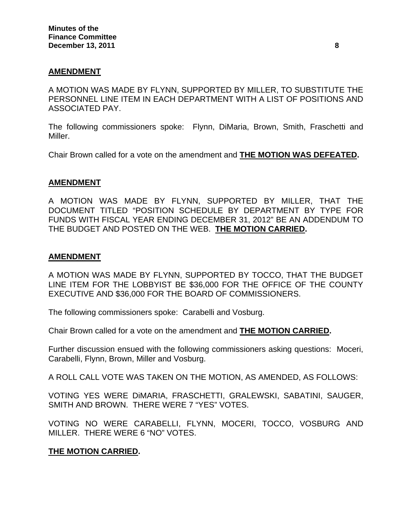### **AMENDMENT**

A MOTION WAS MADE BY FLYNN, SUPPORTED BY MILLER, TO SUBSTITUTE THE PERSONNEL LINE ITEM IN EACH DEPARTMENT WITH A LIST OF POSITIONS AND ASSOCIATED PAY.

The following commissioners spoke: Flynn, DiMaria, Brown, Smith, Fraschetti and Miller.

Chair Brown called for a vote on the amendment and **THE MOTION WAS DEFEATED.** 

### **AMENDMENT**

A MOTION WAS MADE BY FLYNN, SUPPORTED BY MILLER, THAT THE DOCUMENT TITLED "POSITION SCHEDULE BY DEPARTMENT BY TYPE FOR FUNDS WITH FISCAL YEAR ENDING DECEMBER 31, 2012" BE AN ADDENDUM TO THE BUDGET AND POSTED ON THE WEB. **THE MOTION CARRIED.** 

#### **AMENDMENT**

A MOTION WAS MADE BY FLYNN, SUPPORTED BY TOCCO, THAT THE BUDGET LINE ITEM FOR THE LOBBYIST BE \$36,000 FOR THE OFFICE OF THE COUNTY EXECUTIVE AND \$36,000 FOR THE BOARD OF COMMISSIONERS.

The following commissioners spoke: Carabelli and Vosburg.

Chair Brown called for a vote on the amendment and **THE MOTION CARRIED.** 

Further discussion ensued with the following commissioners asking questions: Moceri, Carabelli, Flynn, Brown, Miller and Vosburg.

A ROLL CALL VOTE WAS TAKEN ON THE MOTION, AS AMENDED, AS FOLLOWS:

VOTING YES WERE DiMARIA, FRASCHETTI, GRALEWSKI, SABATINI, SAUGER, SMITH AND BROWN. THERE WERE 7 "YES" VOTES.

VOTING NO WERE CARABELLI, FLYNN, MOCERI, TOCCO, VOSBURG AND MILLER. THERE WERE 6 "NO" VOTES.

## **THE MOTION CARRIED.**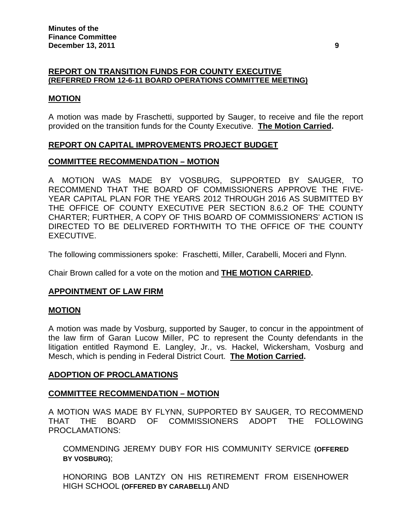### **REPORT ON TRANSITION FUNDS FOR COUNTY EXECUTIVE (REFERRED FROM 12-6-11 BOARD OPERATIONS COMMITTEE MEETING)**

#### **MOTION**

A motion was made by Fraschetti, supported by Sauger, to receive and file the report provided on the transition funds for the County Executive. **The Motion Carried.** 

### **REPORT ON CAPITAL IMPROVEMENTS PROJECT BUDGET**

### **COMMITTEE RECOMMENDATION – MOTION**

A MOTION WAS MADE BY VOSBURG, SUPPORTED BY SAUGER, TO RECOMMEND THAT THE BOARD OF COMMISSIONERS APPROVE THE FIVE-YEAR CAPITAL PLAN FOR THE YEARS 2012 THROUGH 2016 AS SUBMITTED BY THE OFFICE OF COUNTY EXECUTIVE PER SECTION 8.6.2 OF THE COUNTY CHARTER; FURTHER, A COPY OF THIS BOARD OF COMMISSIONERS' ACTION IS DIRECTED TO BE DELIVERED FORTHWITH TO THE OFFICE OF THE COUNTY EXECUTIVE.

The following commissioners spoke: Fraschetti, Miller, Carabelli, Moceri and Flynn.

Chair Brown called for a vote on the motion and **THE MOTION CARRIED.** 

## **APPOINTMENT OF LAW FIRM**

#### **MOTION**

A motion was made by Vosburg, supported by Sauger, to concur in the appointment of the law firm of Garan Lucow Miller, PC to represent the County defendants in the litigation entitled Raymond E. Langley, Jr., vs. Hackel, Wickersham, Vosburg and Mesch, which is pending in Federal District Court. **The Motion Carried.** 

#### **ADOPTION OF PROCLAMATIONS**

#### **COMMITTEE RECOMMENDATION – MOTION**

A MOTION WAS MADE BY FLYNN, SUPPORTED BY SAUGER, TO RECOMMEND THAT THE BOARD OF COMMISSIONERS ADOPT THE FOLLOWING PROCLAMATIONS:

COMMENDING JEREMY DUBY FOR HIS COMMUNITY SERVICE **(OFFERED BY VOSBURG)**;

HONORING BOB LANTZY ON HIS RETIREMENT FROM EISENHOWER HIGH SCHOOL **(OFFERED BY CARABELLI)** AND